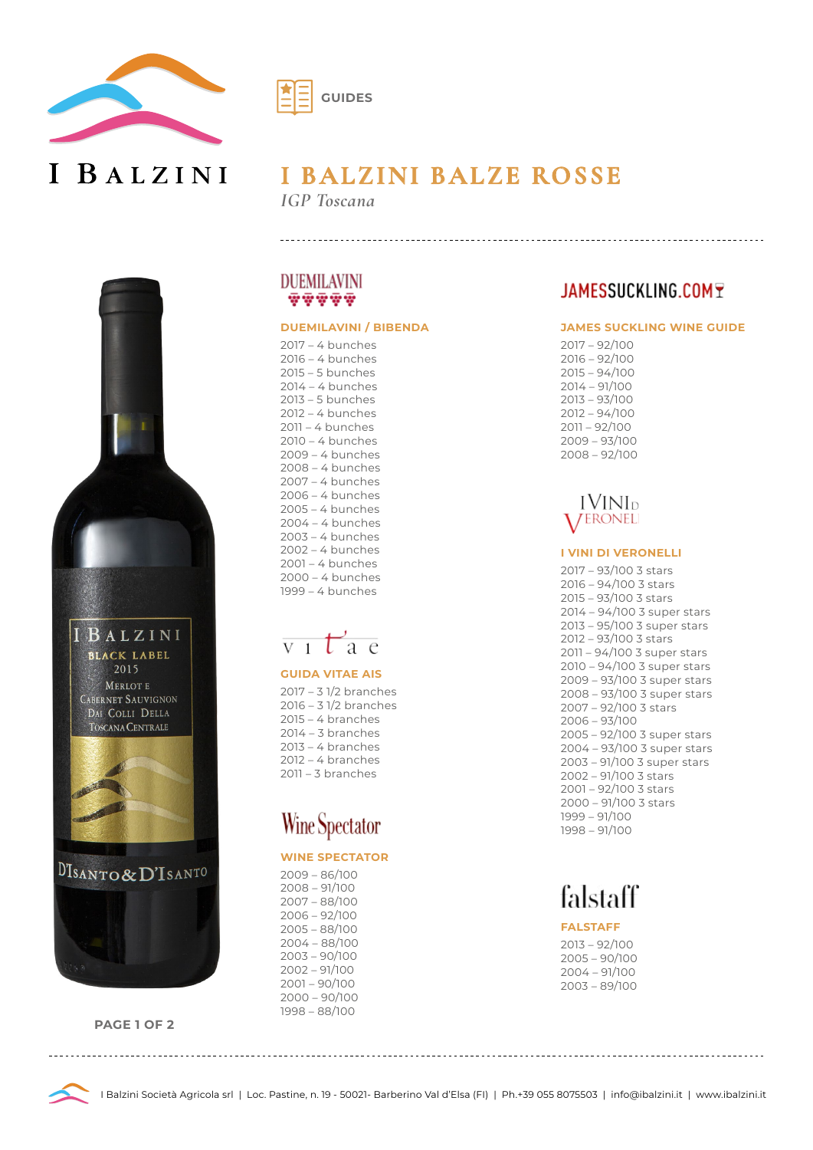

I BALZINI



# **I BALZINI BALZE ROSSE**

*IGP Toscana*



**PAGE 1 OF 2**



#### **DUEMILAVINI / BIBENDA**

2017 – 4 bunches 2016 – 4 bunches 2015 – 5 bunches 2014 – 4 bunches 2013 – 5 bunches 2012 – 4 bunches 2011 – 4 bunches 2010 – 4 bunches 2009 – 4 bunches 2008 – 4 bunches 2007 – 4 bunches 2006 – 4 bunches 2005 – 4 bunches 2004 – 4 bunches 2003 – 4 bunches 2002 – 4 bunches 2001 – 4 bunches 2000 – 4 bunches 1999 – 4 bunches



#### **GUIDA VITAE AIS**

2017 – 3 1/2 branches 2016 – 3 1/2 branches 2015 – 4 branches 2014 – 3 branches 2013 – 4 branches 2012 – 4 branches 2011 – 3 branches

# **Wine Spectator**

#### **WINE SPECTATOR**

2009 – 86/100 2008 – 91/100 2007 – 88/100 2006 – 92/100 2005 – 88/100 2004 – 88/100 2003 – 90/100 2002 – 91/100 2001 – 90/100 2000 – 90/100 1998 – 88/100

### JAMESSUCKLING.COMT

#### **JAMES SUCKLING WINE GUIDE**

2017 – 92/100 2016 – 92/100 2015 – 94/100 2014 – 91/100 2013 – 93/100 2012 – 94/100 2011 – 92/100 2009 – 93/100 2008 – 92/100

### **IVINI**D **VERONEL**

#### **I VINI DI VERONELLI**

2017 – 93/100 3 stars 2016 – 94/100 3 stars 2015 – 93/100 3 stars 2014 – 94/100 3 super stars 2013 – 95/100 3 super stars 2012 – 93/100 3 stars 2011 – 94/100 3 super stars 2010 – 94/100 3 super stars 2009 – 93/100 3 super stars 2008 – 93/100 3 super stars 2007 – 92/100 3 stars 2006 – 93/100 2005 – 92/100 3 super stars 2004 – 93/100 3 super stars 2003 – 91/100 3 super stars 2002 – 91/100 3 stars 2001 – 92/100 3 stars 2000 – 91/100 3 stars 1999 – 91/100 1998 – 91/100

# falstaff

#### **FALSTAFF**

2013 – 92/100 2005 – 90/100 2004 – 91/100 2003 – 89/100